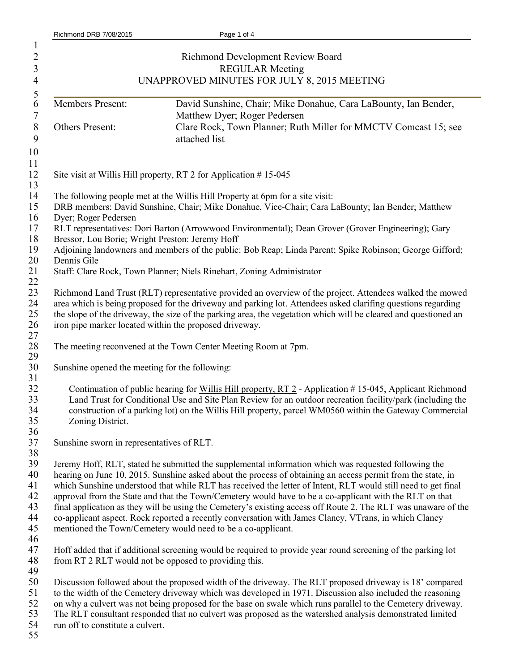| $\mathbf{1}$<br>$\overline{c}$<br>3<br>$\overline{4}$ |                                                                                                                                                                                                                                                                                                                                                                                                       | Richmond Development Review Board<br><b>REGULAR Meeting</b><br>UNAPPROVED MINUTES FOR JULY 8, 2015 MEETING                                                                                                                                                                                                                                                                                                                                                                                                                                                                                                                                                                                                                                 |  |
|-------------------------------------------------------|-------------------------------------------------------------------------------------------------------------------------------------------------------------------------------------------------------------------------------------------------------------------------------------------------------------------------------------------------------------------------------------------------------|--------------------------------------------------------------------------------------------------------------------------------------------------------------------------------------------------------------------------------------------------------------------------------------------------------------------------------------------------------------------------------------------------------------------------------------------------------------------------------------------------------------------------------------------------------------------------------------------------------------------------------------------------------------------------------------------------------------------------------------------|--|
| 5<br>6                                                | Members Present:                                                                                                                                                                                                                                                                                                                                                                                      | David Sunshine, Chair; Mike Donahue, Cara LaBounty, Ian Bender,                                                                                                                                                                                                                                                                                                                                                                                                                                                                                                                                                                                                                                                                            |  |
| 7<br>$8\,$<br>9                                       | Others Present:                                                                                                                                                                                                                                                                                                                                                                                       | Matthew Dyer; Roger Pedersen<br>Clare Rock, Town Planner; Ruth Miller for MMCTV Comcast 15; see<br>attached list                                                                                                                                                                                                                                                                                                                                                                                                                                                                                                                                                                                                                           |  |
| 10                                                    |                                                                                                                                                                                                                                                                                                                                                                                                       |                                                                                                                                                                                                                                                                                                                                                                                                                                                                                                                                                                                                                                                                                                                                            |  |
| 11<br>12<br>13                                        | Site visit at Willis Hill property, RT 2 for Application #15-045                                                                                                                                                                                                                                                                                                                                      |                                                                                                                                                                                                                                                                                                                                                                                                                                                                                                                                                                                                                                                                                                                                            |  |
| 14<br>15<br>16                                        | The following people met at the Willis Hill Property at 6pm for a site visit:<br>DRB members: David Sunshine, Chair; Mike Donahue, Vice-Chair; Cara LaBounty; Ian Bender; Matthew<br>Dyer; Roger Pedersen                                                                                                                                                                                             |                                                                                                                                                                                                                                                                                                                                                                                                                                                                                                                                                                                                                                                                                                                                            |  |
| 17<br>18                                              | RLT representatives: Dori Barton (Arrowwood Environmental); Dean Grover (Grover Engineering); Gary<br>Bressor, Lou Borie; Wright Preston: Jeremy Hoff                                                                                                                                                                                                                                                 |                                                                                                                                                                                                                                                                                                                                                                                                                                                                                                                                                                                                                                                                                                                                            |  |
| 19<br>20                                              | Adjoining landowners and members of the public: Bob Reap; Linda Parent; Spike Robinson; George Gifford;<br>Dennis Gile                                                                                                                                                                                                                                                                                |                                                                                                                                                                                                                                                                                                                                                                                                                                                                                                                                                                                                                                                                                                                                            |  |
| 21                                                    | Staff: Clare Rock, Town Planner; Niels Rinehart, Zoning Administrator                                                                                                                                                                                                                                                                                                                                 |                                                                                                                                                                                                                                                                                                                                                                                                                                                                                                                                                                                                                                                                                                                                            |  |
| 22<br>23<br>24<br>25<br>26                            | Richmond Land Trust (RLT) representative provided an overview of the project. Attendees walked the mowed<br>area which is being proposed for the driveway and parking lot. Attendees asked clarifing questions regarding<br>the slope of the driveway, the size of the parking area, the vegetation which will be cleared and questioned an<br>iron pipe marker located within the proposed driveway. |                                                                                                                                                                                                                                                                                                                                                                                                                                                                                                                                                                                                                                                                                                                                            |  |
| 27<br>28<br>29                                        |                                                                                                                                                                                                                                                                                                                                                                                                       | The meeting reconvened at the Town Center Meeting Room at 7pm.                                                                                                                                                                                                                                                                                                                                                                                                                                                                                                                                                                                                                                                                             |  |
| 30<br>31                                              | Sunshine opened the meeting for the following:                                                                                                                                                                                                                                                                                                                                                        |                                                                                                                                                                                                                                                                                                                                                                                                                                                                                                                                                                                                                                                                                                                                            |  |
| 32<br>33<br>34<br>35<br>36                            | Zoning District.                                                                                                                                                                                                                                                                                                                                                                                      | Continuation of public hearing for Willis Hill property, RT 2 - Application #15-045, Applicant Richmond<br>Land Trust for Conditional Use and Site Plan Review for an outdoor recreation facility/park (including the<br>construction of a parking lot) on the Willis Hill property, parcel WM0560 within the Gateway Commercial                                                                                                                                                                                                                                                                                                                                                                                                           |  |
| 37<br>38                                              | Sunshine sworn in representatives of RLT.                                                                                                                                                                                                                                                                                                                                                             |                                                                                                                                                                                                                                                                                                                                                                                                                                                                                                                                                                                                                                                                                                                                            |  |
| 39<br>40<br>41<br>42<br>43<br>44<br>45<br>46          |                                                                                                                                                                                                                                                                                                                                                                                                       | Jeremy Hoff, RLT, stated he submitted the supplemental information which was requested following the<br>hearing on June 10, 2015. Sunshine asked about the process of obtaining an access permit from the state, in<br>which Sunshine understood that while RLT has received the letter of Intent, RLT would still need to get final<br>approval from the State and that the Town/Cemetery would have to be a co-applicant with the RLT on that<br>final application as they will be using the Cemetery's existing access off Route 2. The RLT was unaware of the<br>co-applicant aspect. Rock reported a recently conversation with James Clancy, VTrans, in which Clancy<br>mentioned the Town/Cemetery would need to be a co-applicant. |  |
| 47<br>48<br>49                                        | from RT 2 RLT would not be opposed to providing this.                                                                                                                                                                                                                                                                                                                                                 | Hoff added that if additional screening would be required to provide year round screening of the parking lot                                                                                                                                                                                                                                                                                                                                                                                                                                                                                                                                                                                                                               |  |
| 50<br>51<br>52<br>53<br>54<br>55                      | run off to constitute a culvert.                                                                                                                                                                                                                                                                                                                                                                      | Discussion followed about the proposed width of the driveway. The RLT proposed driveway is 18' compared<br>to the width of the Cemetery driveway which was developed in 1971. Discussion also included the reasoning<br>on why a culvert was not being proposed for the base on swale which runs parallel to the Cemetery driveway.<br>The RLT consultant responded that no culvert was proposed as the watershed analysis demonstrated limited                                                                                                                                                                                                                                                                                            |  |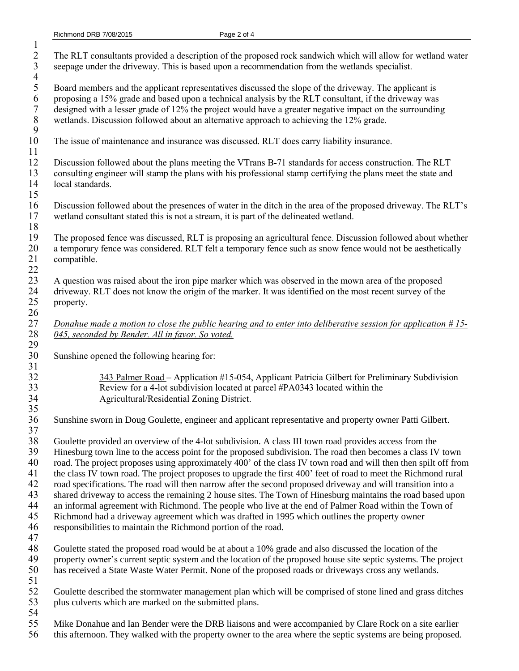| $\mathbf{1}$<br>$\overline{2}$<br>$\overline{\mathbf{3}}$<br>$\overline{4}$ | The RLT consultants provided a description of the proposed rock sandwich which will allow for wetland water<br>seepage under the driveway. This is based upon a recommendation from the wetlands specialist.                                                                                                                                                                                                                                                                                                                                                                                                                                                                                                                                                                                                                                                                                                                                                         |
|-----------------------------------------------------------------------------|----------------------------------------------------------------------------------------------------------------------------------------------------------------------------------------------------------------------------------------------------------------------------------------------------------------------------------------------------------------------------------------------------------------------------------------------------------------------------------------------------------------------------------------------------------------------------------------------------------------------------------------------------------------------------------------------------------------------------------------------------------------------------------------------------------------------------------------------------------------------------------------------------------------------------------------------------------------------|
| 5<br>6<br>$\sqrt{ }$<br>$\,$ $\,$<br>9                                      | Board members and the applicant representatives discussed the slope of the driveway. The applicant is<br>proposing a 15% grade and based upon a technical analysis by the RLT consultant, if the driveway was<br>designed with a lesser grade of 12% the project would have a greater negative impact on the surrounding<br>wetlands. Discussion followed about an alternative approach to achieving the 12% grade.                                                                                                                                                                                                                                                                                                                                                                                                                                                                                                                                                  |
| 10<br>11                                                                    | The issue of maintenance and insurance was discussed. RLT does carry liability insurance.                                                                                                                                                                                                                                                                                                                                                                                                                                                                                                                                                                                                                                                                                                                                                                                                                                                                            |
| 12<br>13<br>14<br>15                                                        | Discussion followed about the plans meeting the VTrans B-71 standards for access construction. The RLT<br>consulting engineer will stamp the plans with his professional stamp certifying the plans meet the state and<br>local standards.                                                                                                                                                                                                                                                                                                                                                                                                                                                                                                                                                                                                                                                                                                                           |
| 16<br>17<br>18                                                              | Discussion followed about the presences of water in the ditch in the area of the proposed driveway. The RLT's<br>wetland consultant stated this is not a stream, it is part of the delineated wetland.                                                                                                                                                                                                                                                                                                                                                                                                                                                                                                                                                                                                                                                                                                                                                               |
| 19<br>20<br>21<br>22                                                        | The proposed fence was discussed, RLT is proposing an agricultural fence. Discussion followed about whether<br>a temporary fence was considered. RLT felt a temporary fence such as snow fence would not be aesthetically<br>compatible.                                                                                                                                                                                                                                                                                                                                                                                                                                                                                                                                                                                                                                                                                                                             |
| 23<br>24<br>25<br>26                                                        | A question was raised about the iron pipe marker which was observed in the mown area of the proposed<br>driveway. RLT does not know the origin of the marker. It was identified on the most recent survey of the<br>property.                                                                                                                                                                                                                                                                                                                                                                                                                                                                                                                                                                                                                                                                                                                                        |
| 27<br>28<br>29                                                              | Donahue made a motion to close the public hearing and to enter into deliberative session for application $#15-$<br>045, seconded by Bender. All in favor. So voted.                                                                                                                                                                                                                                                                                                                                                                                                                                                                                                                                                                                                                                                                                                                                                                                                  |
| 30<br>31                                                                    | Sunshine opened the following hearing for:                                                                                                                                                                                                                                                                                                                                                                                                                                                                                                                                                                                                                                                                                                                                                                                                                                                                                                                           |
| 32<br>33<br>34<br>35                                                        | 343 Palmer Road – Application #15-054, Applicant Patricia Gilbert for Preliminary Subdivision<br>Review for a 4-lot subdivision located at parcel #PA0343 located within the<br>Agricultural/Residential Zoning District.                                                                                                                                                                                                                                                                                                                                                                                                                                                                                                                                                                                                                                                                                                                                            |
| 36                                                                          | Sunshine sworn in Doug Goulette, engineer and applicant representative and property owner Patti Gilbert.                                                                                                                                                                                                                                                                                                                                                                                                                                                                                                                                                                                                                                                                                                                                                                                                                                                             |
| 37<br>38<br>39<br>40<br>41<br>42<br>43<br>44<br>45<br>46<br>47              | Goulette provided an overview of the 4-lot subdivision. A class III town road provides access from the<br>Hinesburg town line to the access point for the proposed subdivision. The road then becomes a class IV town<br>road. The project proposes using approximately 400' of the class IV town road and will then then spilt off from<br>the class IV town road. The project proposes to upgrade the first 400' feet of road to meet the Richmond rural<br>road specifications. The road will then narrow after the second proposed driveway and will transition into a<br>shared driveway to access the remaining 2 house sites. The Town of Hinesburg maintains the road based upon<br>an informal agreement with Richmond. The people who live at the end of Palmer Road within the Town of<br>Richmond had a driveway agreement which was drafted in 1995 which outlines the property owner<br>responsibilities to maintain the Richmond portion of the road. |
| 48<br>49<br>50<br>51                                                        | Goulette stated the proposed road would be at about a 10% grade and also discussed the location of the<br>property owner's current septic system and the location of the proposed house site septic systems. The project<br>has received a State Waste Water Permit. None of the proposed roads or driveways cross any wetlands.                                                                                                                                                                                                                                                                                                                                                                                                                                                                                                                                                                                                                                     |
| 52<br>53<br>54                                                              | Goulette described the stormwater management plan which will be comprised of stone lined and grass ditches<br>plus culverts which are marked on the submitted plans.                                                                                                                                                                                                                                                                                                                                                                                                                                                                                                                                                                                                                                                                                                                                                                                                 |
| 55<br>56                                                                    | Mike Donahue and Ian Bender were the DRB liaisons and were accompanied by Clare Rock on a site earlier<br>this afternoon. They walked with the property owner to the area where the septic systems are being proposed.                                                                                                                                                                                                                                                                                                                                                                                                                                                                                                                                                                                                                                                                                                                                               |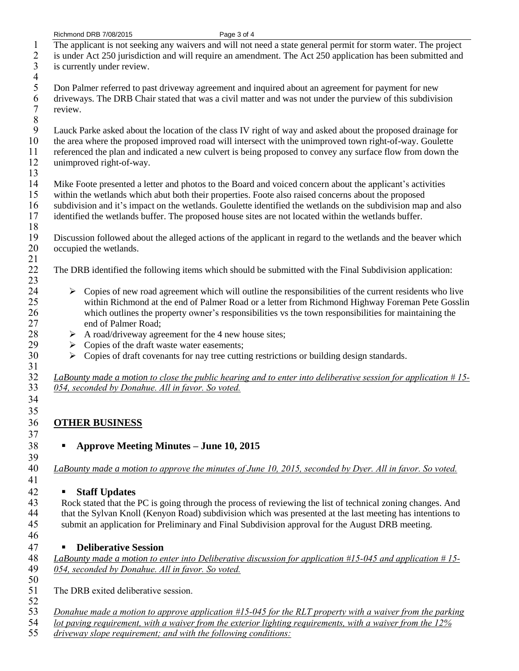- 1 The applicant is not seeking any waivers and will not need a state general permit for storm water. The project 2 is under Act 250 jurisdiction and will require an amendment. The Act 250 application has been submitted and<br>3 is currently under review.
- is currently under review.
- $\frac{4}{5}$ 5 Don Palmer referred to past driveway agreement and inquired about an agreement for payment for new<br>6 driveways. The DRB Chair stated that was a civil matter and was not under the purview of this subdivis 6 driveways. The DRB Chair stated that was a civil matter and was not under the purview of this subdivision review.
- 

8<br>9 9 Lauck Parke asked about the location of the class IV right of way and asked about the proposed drainage for<br>10 the area where the proposed improved road will intersect with the unimproved town right-of-way. Goulette 10 the area where the proposed improved road will intersect with the unimproved town right-of-way. Goulette referenced the plan and indicated a new culvert is being proposed to convey any surface flow from down the 11 referenced the plan and indicated a new culvert is being proposed to convey any surface flow from down the 12 unimproved right-of-way.

31

34 35

37

39

 $\frac{13}{14}$ Mike Foote presented a letter and photos to the Board and voiced concern about the applicant's activities 15 within the wetlands which abut both their properties. Foote also raised concerns about the proposed 16 subdivision and it's impact on the wetlands. Goulette identified the wetlands on the subdivision map and also

- 17 identified the wetlands buffer. The proposed house sites are not located within the wetlands buffer.
- $\frac{18}{19}$ 19 Discussion followed about the alleged actions of the applicant in regard to the wetlands and the beaver which<br>20 occupied the wetlands. occupied the wetlands. 21
- 22 The DRB identified the following items which should be submitted with the Final Subdivision application: 23
- $24$  
Equilibrary Copies of new road agreement which will outline the responsibilities of the current residents who live within Richmond at the end of Palmer Road or a letter from Richmond Highway Foreman Pete Gosslin 25 within Richmond at the end of Palmer Road or a letter from Richmond Highway Foreman Pete Gosslin<br>26 which outlines the property owner's responsibilities vs the town responsibilities for maintaining the 26 which outlines the property owner's responsibilities vs the town responsibilities for maintaining the end of Palmer Road; end of Palmer Road;
- 28  $\rightarrow$  A road/driveway agreement for the 4 new house sites;<br>29  $\rightarrow$  Copies of the draft waste water easements;
- 29  $\rightarrow$  Copies of the draft waste water easements;<br>30  $\rightarrow$  Copies of draft covenants for nay tree cutting
	- $\triangleright$  Copies of draft covenants for nay tree cutting restrictions or building design standards.

32 *LaBounty made a motion to close the public hearing and to enter into deliberative session for application # 15-* 33 *054, seconded by Donahue. All in favor. So voted.* 

## 36 **OTHER BUSINESS**

38 **Approve Meeting Minutes – June 10, 2015**

40 *LaBounty made a motion to approve the minutes of June 10, 2015, seconded by Dyer. All in favor. So voted.*  41

## 42 **Staff Updates**

43 Rock stated that the PC is going through the process of reviewing the list of technical zoning changes. And<br>44 that the Sylvan Knoll (Kenyon Road) subdivision which was presented at the last meeting has intentions to that the Sylvan Knoll (Kenyon Road) subdivision which was presented at the last meeting has intentions to<br>45 submit an application for Preliminary and Final Subdivision approval for the August DRB meeting. submit an application for Preliminary and Final Subdivision approval for the August DRB meeting. 46

## 47 **Deliberative Session**

48 *LaBounty made a motion to enter into Deliberative discussion for application #15-045 and application # 15-* 49 *054, seconded by Donahue. All in favor. So voted.* 

 $\frac{50}{51}$ The DRB exited deliberative session.

 $\frac{52}{53}$ 53 *Donahue made a motion to approve application #15-045 for the RLT property with a waiver from the parking*<br>54 *lot paving requirement, with a waiver from the exterior lighting requirements, with a waiver from the 12%* 

54 *lot paving requirement, with a waiver from the exterior lighting requirements, with a waiver from the 12%* 

55 *driveway slope requirement; and with the following conditions:*